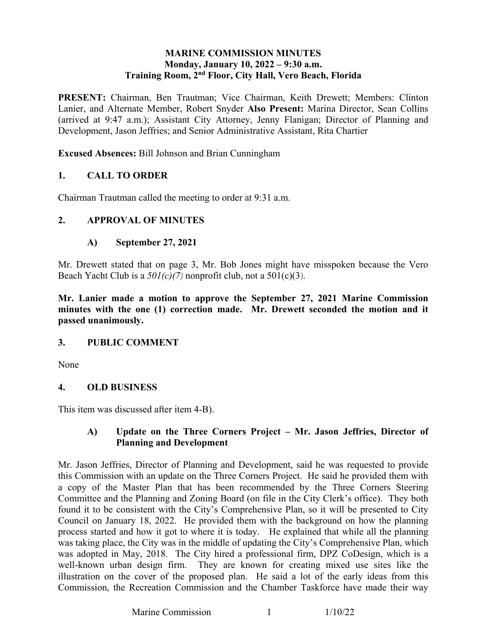### **Monday, January 10, 2022 – 9:30 a.m. Training Room, 2nd Floor, City Hall, Vero Beach, Florida MARINE COMMISSION MINUTES**

**PRESENT:** Chairman, Ben Trautman; Vice Chairman, Keith Drewett; Members: Clinton Lanier, and Alternate Member, Robert Snyder **Also Present:** Marina Director, Sean Collins (arrived at 9:47 a.m.); Assistant City Attorney, Jenny Flanigan; Director of Planning and Development, Jason Jeffries; and Senior Administrative Assistant, Rita Chartier

**Excused Absences:** Bill Johnson and Brian Cunningham

### **1. CALL TO ORDER**

Chairman Trautman called the meeting to order at 9:31 a.m.

### **2. APPROVAL OF MINUTES**

### **A) September 27, 2021**

 Mr. Drewett stated that on page 3, Mr. Bob Jones might have misspoken because the Vero Beach Yacht Club is a *501(c)(7)* nonprofit club, not a 501(c)(3).

 **Mr. Lanier made a motion to approve the September 27, 2021 Marine Commission minutes with the one (1) correction made. Mr. Drewett seconded the motion and it passed unanimously.** 

#### **3. PUBLIC COMMENT**

None

#### **4. OLD BUSINESS**

This item was discussed after item 4-B).

### **A) Update on the Three Corners Project – Mr. Jason Jeffries, Director of Planning and Development**

 a copy of the Master Plan that has been recommended by the Three Corners Steering Council on January 18, 2022. He provided them with the background on how the planning process started and how it got to where it is today. He explained that while all the planning was taking place, the City was in the middle of updating the City's Comprehensive Plan, which well-known urban design firm. They are known for creating mixed use sites like the illustration on the cover of the proposed plan. He said a lot of the early ideas from this Mr. Jason Jeffries, Director of Planning and Development, said he was requested to provide this Commission with an update on the Three Corners Project. He said he provided them with Committee and the Planning and Zoning Board (on file in the City Clerk's office). They both found it to be consistent with the City's Comprehensive Plan, so it will be presented to City was adopted in May, 2018. The City hired a professional firm, DPZ CoDesign, which is a Commission, the Recreation Commission and the Chamber Taskforce have made their way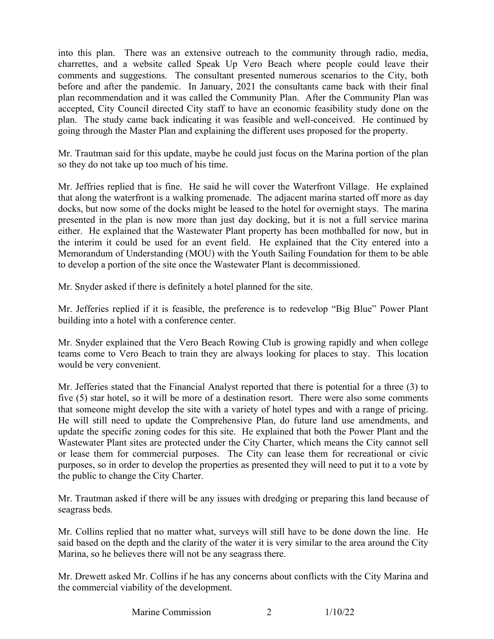charrettes, and a website called Speak Up Vero Beach where people could leave their comments and suggestions. The consultant presented numerous scenarios to the City, both plan. The study came back indicating it was feasible and well-conceived. He continued by going through the Master Plan and explaining the different uses proposed for the property. into this plan. There was an extensive outreach to the community through radio, media, before and after the pandemic. In January, 2021 the consultants came back with their final plan recommendation and it was called the Community Plan. After the Community Plan was accepted, City Council directed City staff to have an economic feasibility study done on the

so they do not take up too much of his time. Mr. Trautman said for this update, maybe he could just focus on the Marina portion of the plan

 docks, but now some of the docks might be leased to the hotel for overnight stays. The marina the interim it could be used for an event field. He explained that the City entered into a to develop a portion of the site once the Wastewater Plant is decommissioned. Mr. Jeffries replied that is fine. He said he will cover the Waterfront Village. He explained that along the waterfront is a walking promenade. The adjacent marina started off more as day presented in the plan is now more than just day docking, but it is not a full service marina either. He explained that the Wastewater Plant property has been mothballed for now, but in Memorandum of Understanding (MOU) with the Youth Sailing Foundation for them to be able

Mr. Snyder asked if there is definitely a hotel planned for the site.

 Mr. Jefferies replied if it is feasible, the preference is to redevelop "Big Blue" Power Plant building into a hotel with a conference center.

Mr. Snyder explained that the Vero Beach Rowing Club is growing rapidly and when college teams come to Vero Beach to train they are always looking for places to stay. This location would be very convenient.

 five (5) star hotel, so it will be more of a destination resort. There were also some comments that someone might develop the site with a variety of hotel types and with a range of pricing. update the specific zoning codes for this site. He explained that both the Power Plant and the Wastewater Plant sites are protected under the City Charter, which means the City cannot sell or lease them for commercial purposes. The City can lease them for recreational or civic purposes, so in order to develop the properties as presented they will need to put it to a vote by Mr. Jefferies stated that the Financial Analyst reported that there is potential for a three (3) to He will still need to update the Comprehensive Plan, do future land use amendments, and the public to change the City Charter.

Mr. Trautman asked if there will be any issues with dredging or preparing this land because of seagrass beds.

Mr. Collins replied that no matter what, surveys will still have to be done down the line. He said based on the depth and the clarity of the water it is very similar to the area around the City Marina, so he believes there will not be any seagrass there.

Mr. Drewett asked Mr. Collins if he has any concerns about conflicts with the City Marina and the commercial viability of the development.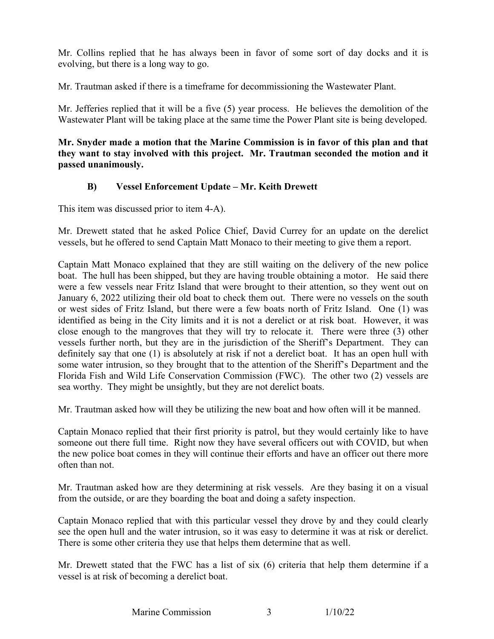Mr. Collins replied that he has always been in favor of some sort of day docks and it is evolving, but there is a long way to go.

Mr. Trautman asked if there is a timeframe for decommissioning the Wastewater Plant.

Mr. Trautman asked if there is a timeframe for decommissioning the Wastewater Plant.<br>Mr. Jefferies replied that it will be a five (5) year process. He believes the demolition of the Wastewater Plant will be taking place at the same time the Power Plant site is being developed.

### **they want to stay involved with this project. Mr. Trautman seconded the motion and it Mr. Snyder made a motion that the Marine Commission is in favor of this plan and that passed unanimously.**

## **B) Vessel Enforcement Update – Mr. Keith Drewett**

This item was discussed prior to item 4-A).

Mr. Drewett stated that he asked Police Chief, David Currey for an update on the derelict vessels, but he offered to send Captain Matt Monaco to their meeting to give them a report.

 boat. The hull has been shipped, but they are having trouble obtaining a motor. He said there identified as being in the City limits and it is not a derelict or at risk boat. However, it was vessels further north, but they are in the jurisdiction of the Sheriff's Department. They can sea worthy. They might be unsightly, but they are not derelict boats. Captain Matt Monaco explained that they are still waiting on the delivery of the new police were a few vessels near Fritz Island that were brought to their attention, so they went out on January 6, 2022 utilizing their old boat to check them out. There were no vessels on the south or west sides of Fritz Island, but there were a few boats north of Fritz Island. One (1) was close enough to the mangroves that they will try to relocate it. There were three (3) other definitely say that one (1) is absolutely at risk if not a derelict boat. It has an open hull with some water intrusion, so they brought that to the attention of the Sheriff's Department and the Florida Fish and Wild Life Conservation Commission (FWC). The other two (2) vessels are

Mr. Trautman asked how will they be utilizing the new boat and how often will it be manned.

 Captain Monaco replied that their first priority is patrol, but they would certainly like to have someone out there full time. Right now they have several officers out with COVID, but when the new police boat comes in they will continue their efforts and have an officer out there more often than not.

 Mr. Trautman asked how are they determining at risk vessels. Are they basing it on a visual from the outside, or are they boarding the boat and doing a safety inspection.

 see the open hull and the water intrusion, so it was easy to determine it was at risk or derelict. There is some other criteria they use that helps them determine that as well. There is some other criteria they use that helps them determine that as well. Captain Monaco replied that with this particular vessel they drove by and they could clearly

 Mr. Drewett stated that the FWC has a list of six (6) criteria that help them determine if a vessel is at risk of becoming a derelict boat.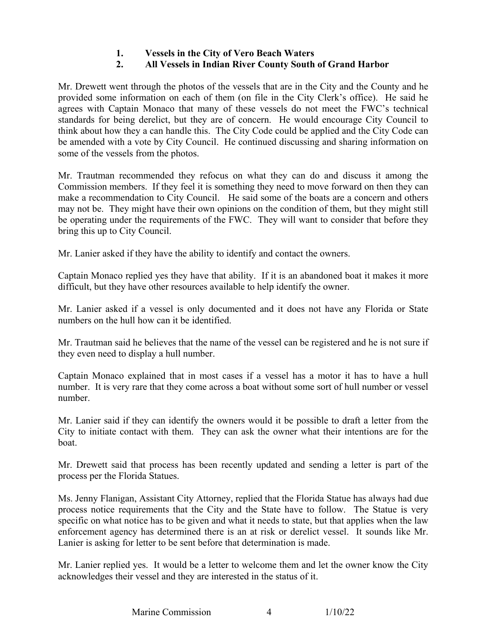# **1. Vessels in the City of Vero Beach Waters**

# **2. All Vessels in Indian River County South of Grand Harbor**

 provided some information on each of them (on file in the City Clerk's office). He said he Mr. Drewett went through the photos of the vessels that are in the City and the County and he agrees with Captain Monaco that many of these vessels do not meet the FWC's technical standards for being derelict, but they are of concern. He would encourage City Council to think about how they a can handle this. The City Code could be applied and the City Code can be amended with a vote by City Council. He continued discussing and sharing information on some of the vessels from the photos.

 make a recommendation to City Council. He said some of the boats are a concern and others Mr. Trautman recommended they refocus on what they can do and discuss it among the Commission members. If they feel it is something they need to move forward on then they can may not be. They might have their own opinions on the condition of them, but they might still be operating under the requirements of the FWC. They will want to consider that before they bring this up to City Council.

Mr. Lanier asked if they have the ability to identify and contact the owners.

Captain Monaco replied yes they have that ability. If it is an abandoned boat it makes it more difficult, but they have other resources available to help identify the owner.

Mr. Lanier asked if a vessel is only documented and it does not have any Florida or State numbers on the hull how can it be identified.

Mr. Trautman said he believes that the name of the vessel can be registered and he is not sure if they even need to display a hull number.

 Captain Monaco explained that in most cases if a vessel has a motor it has to have a hull number. It is very rare that they come across a boat without some sort of hull number or vessel number.

 Mr. Lanier said if they can identify the owners would it be possible to draft a letter from the City to initiate contact with them. They can ask the owner what their intentions are for the boat.

Mr. Drewett said that process has been recently updated and sending a letter is part of the process per the Florida Statues.

 Ms. Jenny Flanigan, Assistant City Attorney, replied that the Florida Statue has always had due Lanier is asking for letter to be sent before that determination is made. process notice requirements that the City and the State have to follow. The Statue is very specific on what notice has to be given and what it needs to state, but that applies when the law enforcement agency has determined there is an at risk or derelict vessel. It sounds like Mr.

Mr. Lanier replied yes. It would be a letter to welcome them and let the owner know the City acknowledges their vessel and they are interested in the status of it.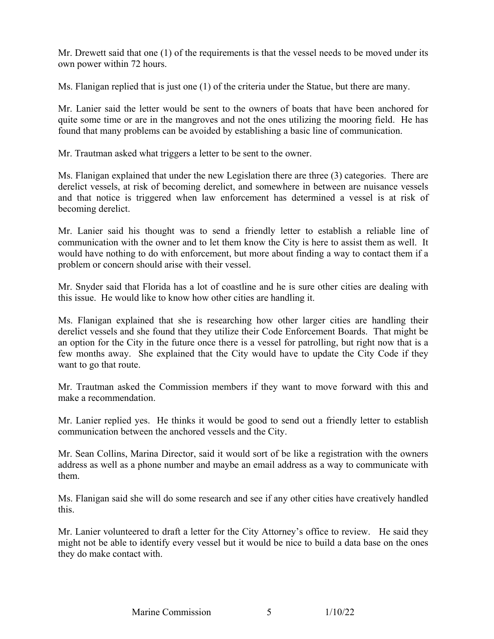Mr. Drewett said that one (1) of the requirements is that the vessel needs to be moved under its own power within 72 hours.

Ms. Flanigan replied that is just one (1) of the criteria under the Statue, but there are many.

 Mr. Lanier said the letter would be sent to the owners of boats that have been anchored for quite some time or are in the mangroves and not the ones utilizing the mooring field. He has found that many problems can be avoided by establishing a basic line of communication.

Mr. Trautman asked what triggers a letter to be sent to the owner.

 derelict vessels, at risk of becoming derelict, and somewhere in between are nuisance vessels Ms. Flanigan explained that under the new Legislation there are three (3) categories. There are and that notice is triggered when law enforcement has determined a vessel is at risk of becoming derelict.

 would have nothing to do with enforcement, but more about finding a way to contact them if a problem or concern should arise with their vessel. Mr. Lanier said his thought was to send a friendly letter to establish a reliable line of communication with the owner and to let them know the City is here to assist them as well. It

 this issue. He would like to know how other cities are handling it. Mr. Snyder said that Florida has a lot of coastline and he is sure other cities are dealing with

 derelict vessels and she found that they utilize their Code Enforcement Boards. That might be Ms. Flanigan explained that she is researching how other larger cities are handling their an option for the City in the future once there is a vessel for patrolling, but right now that is a few months away. She explained that the City would have to update the City Code if they want to go that route.

Mr. Trautman asked the Commission members if they want to move forward with this and make a recommendation.

 Mr. Lanier replied yes. He thinks it would be good to send out a friendly letter to establish communication between the anchored vessels and the City.

 Mr. Sean Collins, Marina Director, said it would sort of be like a registration with the owners address as well as a phone number and maybe an email address as a way to communicate with them.

Ms. Flanigan said she will do some research and see if any other cities have creatively handled this.

 Mr. Lanier volunteered to draft a letter for the City Attorney's office to review. He said they might not be able to identify every vessel but it would be nice to build a data base on the ones they do make contact with.

 $\overline{5}$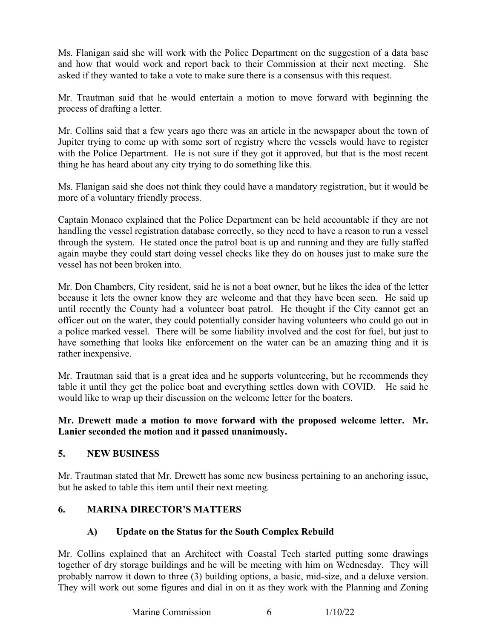Ms. Flanigan said she will work with the Police Department on the suggestion of a data base and how that would work and report back to their Commission at their next meeting. She asked if they wanted to take a vote to make sure there is a consensus with this request.

 Mr. Trautman said that he would entertain a motion to move forward with beginning the process of drafting a letter.

 Jupiter trying to come up with some sort of registry where the vessels would have to register thing he has heard about any city trying to do something like this. Mr. Collins said that a few years ago there was an article in the newspaper about the town of with the Police Department. He is not sure if they got it approved, but that is the most recent

 more of a voluntary friendly process. Ms. Flanigan said she does not think they could have a mandatory registration, but it would be

 Captain Monaco explained that the Police Department can be held accountable if they are not handling the vessel registration database correctly, so they need to have a reason to run a vessel through the system. He stated once the patrol boat is up and running and they are fully staffed again maybe they could start doing vessel checks like they do on houses just to make sure the vessel has not been broken into.

 until recently the County had a volunteer boat patrol. He thought if the City cannot get an a police marked vessel. There will be some liability involved and the cost for fuel, but just to have something that looks like enforcement on the water can be an amazing thing and it is Mr. Don Chambers, City resident, said he is not a boat owner, but he likes the idea of the letter because it lets the owner know they are welcome and that they have been seen. He said up officer out on the water, they could potentially consider having volunteers who could go out in rather inexpensive.

 Mr. Trautman said that is a great idea and he supports volunteering, but he recommends they table it until they get the police boat and everything settles down with COVID. He said he would like to wrap up their discussion on the welcome letter for the boaters.

### **Mr. Drewett made a motion to move forward with the proposed welcome letter. Mr. Lanier seconded the motion and it passed unanimously.**

### **5. NEW BUSINESS**

Mr. Trautman stated that Mr. Drewett has some new business pertaining to an anchoring issue, but he asked to table this item until their next meeting.

### **6. MARINA DIRECTOR'S MATTERS**

### **A) Update on the Status for the South Complex Rebuild**

Mr. Collins explained that an Architect with Coastal Tech started putting some drawings together of dry storage buildings and he will be meeting with him on Wednesday. They will probably narrow it down to three (3) building options, a basic, mid-size, and a deluxe version. They will work out some figures and dial in on it as they work with the Planning and Zoning

> 6 Marine Commission 6 1/10/22